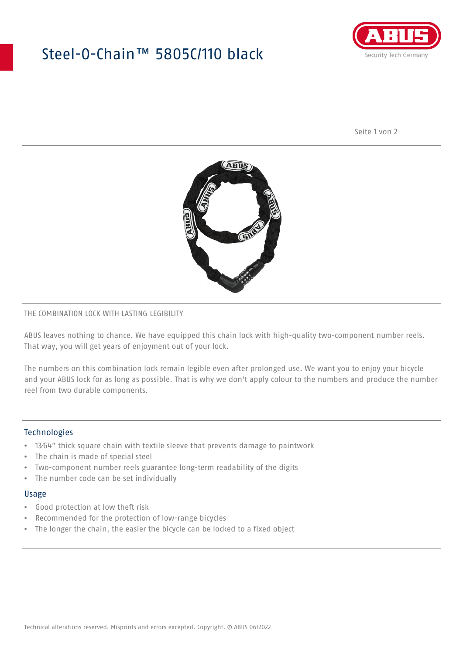## Steel-O-Chain™ 5805C/110 black



Seite 1 von 2



#### THE COMBINATION LOCK WITH LASTING LEGIBILITY

ABUS leaves nothing to chance. We have equipped this chain lock with high-quality two-component number reels. That way, you will get years of enjoyment out of your lock.

The numbers on this combination lock remain legible even after prolonged use. We want you to enjoy your bicycle and your ABUS lock for as long as possible. That is why we don't apply colour to the numbers and produce the number reel from two durable components.

#### **Technologies**

- 13⁄64" thick square chain with textile sleeve that prevents damage to paintwork
- The chain is made of special steel
- Two-component number reels guarantee long-term readability of the digits
- The number code can be set individually

#### Usage

- Good protection at low theft risk
- Recommended for the protection of low-range bicycles
- The longer the chain, the easier the bicycle can be locked to a fixed object